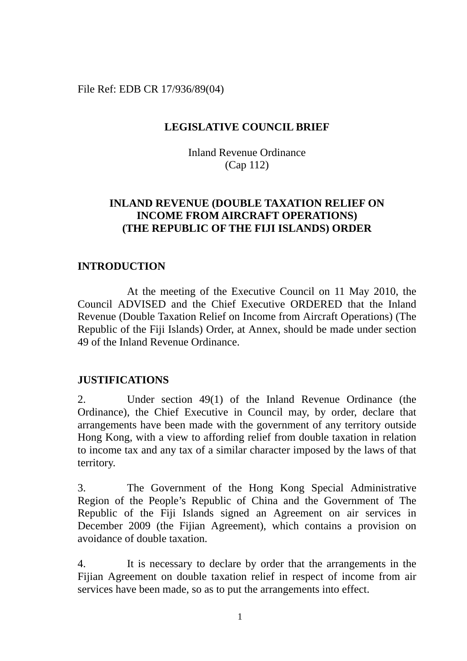File Ref: EDB CR 17/936/89(04)

## **LEGISLATIVE COUNCIL BRIEF**

Inland Revenue Ordinance (Cap 112)

# **INLAND REVENUE (DOUBLE TAXATION RELIEF ON INCOME FROM AIRCRAFT OPERATIONS) (THE REPUBLIC OF THE FIJI ISLANDS) ORDER**

## **INTRODUCTION**

At the meeting of the Executive Council on 11 May 2010, the Council ADVISED and the Chief Executive ORDERED that the Inland Revenue (Double Taxation Relief on Income from Aircraft Operations) (The Republic of the Fiji Islands) Order, at Annex, should be made under section 49 of the Inland Revenue Ordinance.

## **JUSTIFICATIONS**

2. Under section 49(1) of the Inland Revenue Ordinance (the Ordinance), the Chief Executive in Council may, by order, declare that arrangements have been made with the government of any territory outside Hong Kong, with a view to affording relief from double taxation in relation to income tax and any tax of a similar character imposed by the laws of that territory.

3. The Government of the Hong Kong Special Administrative Region of the People's Republic of China and the Government of The Republic of the Fiji Islands signed an Agreement on air services in December 2009 (the Fijian Agreement), which contains a provision on avoidance of double taxation.

4. It is necessary to declare by order that the arrangements in the Fijian Agreement on double taxation relief in respect of income from air services have been made, so as to put the arrangements into effect.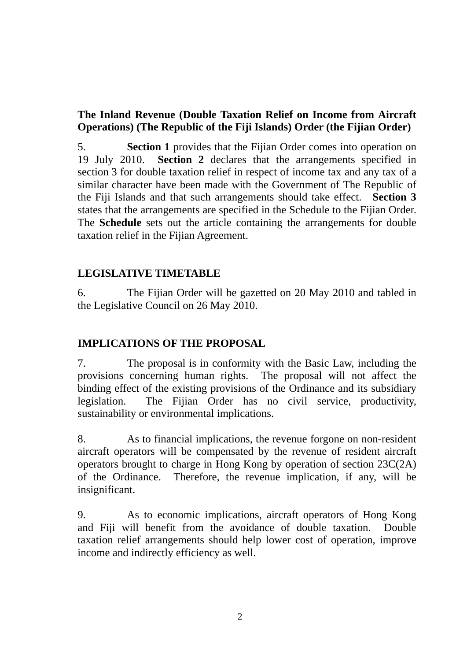# **The Inland Revenue (Double Taxation Relief on Income from Aircraft Operations) (The Republic of the Fiji Islands) Order (the Fijian Order)**

5. **Section 1** provides that the Fijian Order comes into operation on 19 July 2010. **Section 2** declares that the arrangements specified in section 3 for double taxation relief in respect of income tax and any tax of a similar character have been made with the Government of The Republic of the Fiji Islands and that such arrangements should take effect. **Section 3** states that the arrangements are specified in the Schedule to the Fijian Order. The **Schedule** sets out the article containing the arrangements for double taxation relief in the Fijian Agreement.

# **LEGISLATIVE TIMETABLE**

6. The Fijian Order will be gazetted on 20 May 2010 and tabled in the Legislative Council on 26 May 2010.

# **IMPLICATIONS OF THE PROPOSAL**

7. The proposal is in conformity with the Basic Law, including the provisions concerning human rights. The proposal will not affect the binding effect of the existing provisions of the Ordinance and its subsidiary legislation. The Fijian Order has no civil service, productivity, sustainability or environmental implications.

8. As to financial implications, the revenue forgone on non-resident aircraft operators will be compensated by the revenue of resident aircraft operators brought to charge in Hong Kong by operation of section 23C(2A) of the Ordinance. Therefore, the revenue implication, if any, will be insignificant.

9. As to economic implications, aircraft operators of Hong Kong and Fiji will benefit from the avoidance of double taxation. Double taxation relief arrangements should help lower cost of operation, improve income and indirectly efficiency as well.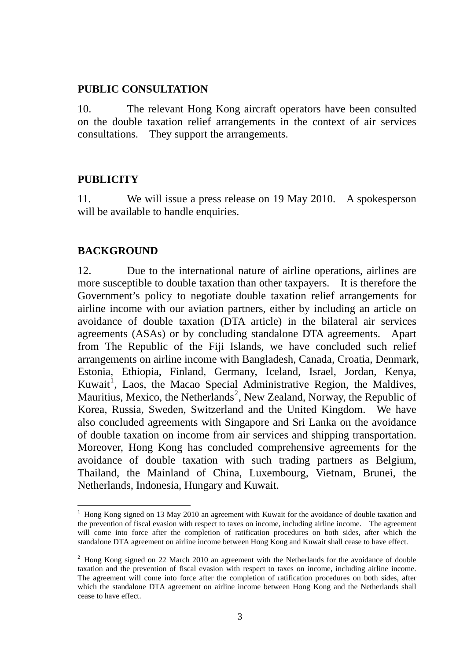### **PUBLIC CONSULTATION**

10. The relevant Hong Kong aircraft operators have been consulted on the double taxation relief arrangements in the context of air services consultations. They support the arrangements.

### **PUBLICITY**

11. We will issue a press release on 19 May 2010. A spokesperson will be available to handle enquiries.

### **BACKGROUND**

<u>.</u>

12. Due to the international nature of airline operations, airlines are more susceptible to double taxation than other taxpayers. It is therefore the Government's policy to negotiate double taxation relief arrangements for airline income with our aviation partners, either by including an article on avoidance of double taxation (DTA article) in the bilateral air services agreements (ASAs) or by concluding standalone DTA agreements. Apart from The Republic of the Fiji Islands, we have concluded such relief arrangements on airline income with Bangladesh, Canada, Croatia, Denmark, Estonia, Ethiopia, Finland, Germany, Iceland, Israel, Jordan, Kenya, Kuwait<sup>[1](#page-2-0)</sup>, Laos, the Macao Special Administrative Region, the Maldives, Mauritius, Mexico, the Netherlands<sup>[2](#page-2-1)</sup>, New Zealand, Norway, the Republic of Korea, Russia, Sweden, Switzerland and the United Kingdom. We have also concluded agreements with Singapore and Sri Lanka on the avoidance of double taxation on income from air services and shipping transportation. Moreover, Hong Kong has concluded comprehensive agreements for the avoidance of double taxation with such trading partners as Belgium, Thailand, the Mainland of China, Luxembourg, Vietnam, Brunei, the Netherlands, Indonesia, Hungary and Kuwait.

<span id="page-2-0"></span><sup>&</sup>lt;sup>1</sup> Hong Kong signed on 13 May 2010 an agreement with Kuwait for the avoidance of double taxation and the prevention of fiscal evasion with respect to taxes on income, including airline income. The agreement will come into force after the completion of ratification procedures on both sides, after which the standalone DTA agreement on airline income between Hong Kong and Kuwait shall cease to have effect.

<span id="page-2-1"></span> $2$  Hong Kong signed on 22 March 2010 an agreement with the Netherlands for the avoidance of double taxation and the prevention of fiscal evasion with respect to taxes on income, including airline income. The agreement will come into force after the completion of ratification procedures on both sides, after which the standalone DTA agreement on airline income between Hong Kong and the Netherlands shall cease to have effect.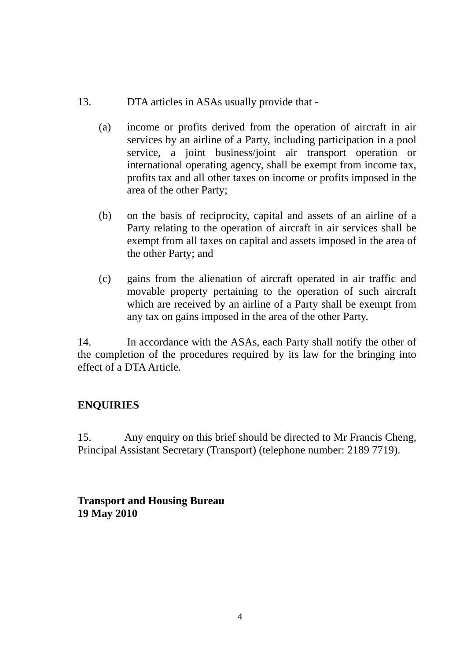## 13. DTA articles in ASAs usually provide that -

- (a) income or profits derived from the operation of aircraft in air services by an airline of a Party, including participation in a pool service, a joint business/joint air transport operation or international operating agency, shall be exempt from income tax, profits tax and all other taxes on income or profits imposed in the area of the other Party;
- (b) on the basis of reciprocity, capital and assets of an airline of a Party relating to the operation of aircraft in air services shall be exempt from all taxes on capital and assets imposed in the area of the other Party; and
- (c) gains from the alienation of aircraft operated in air traffic and movable property pertaining to the operation of such aircraft which are received by an airline of a Party shall be exempt from any tax on gains imposed in the area of the other Party.

14. In accordance with the ASAs, each Party shall notify the other of the completion of the procedures required by its law for the bringing into effect of a DTA Article.

## **ENQUIRIES**

15. Any enquiry on this brief should be directed to Mr Francis Cheng, Principal Assistant Secretary (Transport) (telephone number: 2189 7719).

**Transport and Housing Bureau 19 May 2010**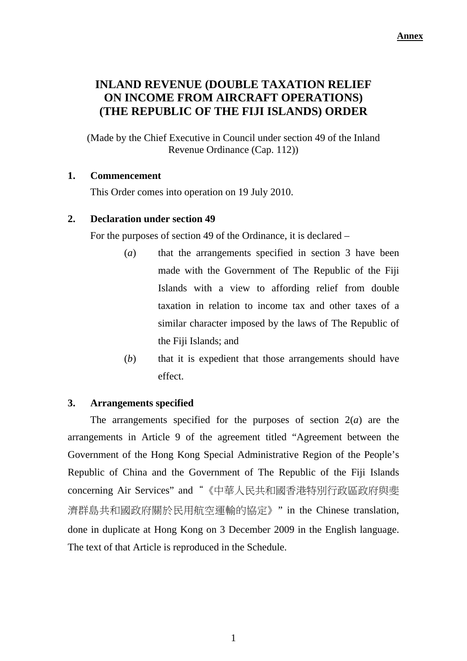# **INLAND REVENUE (DOUBLE TAXATION RELIEF ON INCOME FROM AIRCRAFT OPERATIONS) (THE REPUBLIC OF THE FIJI ISLANDS) ORDER**

(Made by the Chief Executive in Council under section 49 of the Inland Revenue Ordinance (Cap. 112))

### **1. Commencement**

This Order comes into operation on 19 July 2010.

## **2. Declaration under section 49**

For the purposes of section 49 of the Ordinance, it is declared –

- (*a*) that the arrangements specified in section 3 have been made with the Government of The Republic of the Fiji Islands with a view to affording relief from double taxation in relation to income tax and other taxes of a similar character imposed by the laws of The Republic of the Fiji Islands; and
- (*b*) that it is expedient that those arrangements should have effect.

### **3. Arrangements specified**

The arrangements specified for the purposes of section 2(*a*) are the arrangements in Article 9 of the agreement titled "Agreement between the Government of the Hong Kong Special Administrative Region of the People's Republic of China and the Government of The Republic of the Fiji Islands concerning Air Services" and"《中華人民共和國香港特別行政區政府與斐 濟群島共和國政府關於民用航空運輸的協定》" in the Chinese translation, done in duplicate at Hong Kong on 3 December 2009 in the English language. The text of that Article is reproduced in the Schedule.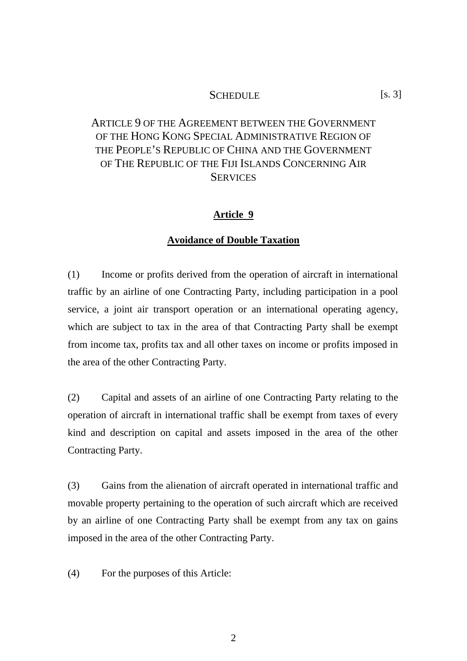#### SCHEDULE [s. 3]

# ARTICLE 9 OF THE AGREEMENT BETWEEN THE GOVERNMENT OF THE HONG KONG SPECIAL ADMINISTRATIVE REGION OF THE PEOPLE'S REPUBLIC OF CHINA AND THE GOVERNMENT OF THE REPUBLIC OF THE FIJI ISLANDS CONCERNING AIR **SERVICES**

#### **Article 9**

#### **Avoidance of Double Taxation**

(1) Income or profits derived from the operation of aircraft in international traffic by an airline of one Contracting Party, including participation in a pool service, a joint air transport operation or an international operating agency, which are subject to tax in the area of that Contracting Party shall be exempt from income tax, profits tax and all other taxes on income or profits imposed in the area of the other Contracting Party.

(2) Capital and assets of an airline of one Contracting Party relating to the operation of aircraft in international traffic shall be exempt from taxes of every kind and description on capital and assets imposed in the area of the other Contracting Party.

(3) Gains from the alienation of aircraft operated in international traffic and movable property pertaining to the operation of such aircraft which are received by an airline of one Contracting Party shall be exempt from any tax on gains imposed in the area of the other Contracting Party.

(4) For the purposes of this Article: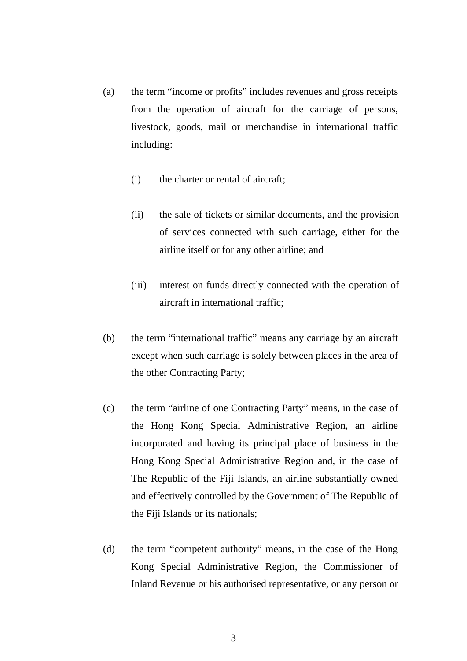- (a) the term "income or profits" includes revenues and gross receipts from the operation of aircraft for the carriage of persons, livestock, goods, mail or merchandise in international traffic including:
	- (i) the charter or rental of aircraft;
	- (ii) the sale of tickets or similar documents, and the provision of services connected with such carriage, either for the airline itself or for any other airline; and
	- (iii) interest on funds directly connected with the operation of aircraft in international traffic;
- (b) the term "international traffic" means any carriage by an aircraft except when such carriage is solely between places in the area of the other Contracting Party;
- (c) the term "airline of one Contracting Party" means, in the case of the Hong Kong Special Administrative Region, an airline incorporated and having its principal place of business in the Hong Kong Special Administrative Region and, in the case of The Republic of the Fiji Islands, an airline substantially owned and effectively controlled by the Government of The Republic of the Fiji Islands or its nationals;
- (d) the term "competent authority" means, in the case of the Hong Kong Special Administrative Region, the Commissioner of Inland Revenue or his authorised representative, or any person or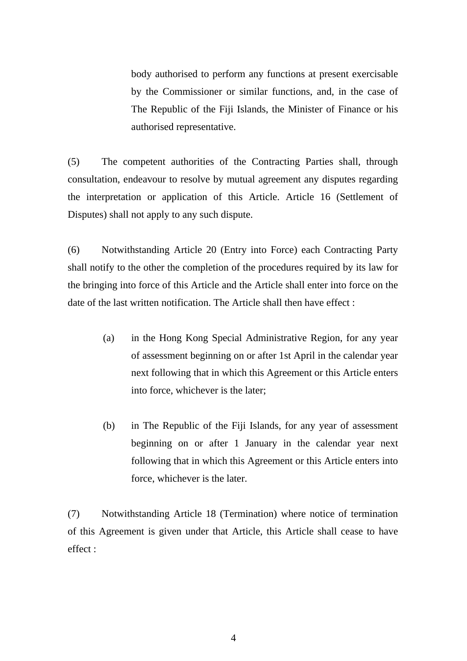body authorised to perform any functions at present exercisable by the Commissioner or similar functions, and, in the case of The Republic of the Fiji Islands, the Minister of Finance or his authorised representative.

(5) The competent authorities of the Contracting Parties shall, through consultation, endeavour to resolve by mutual agreement any disputes regarding the interpretation or application of this Article. Article 16 (Settlement of Disputes) shall not apply to any such dispute.

(6) Notwithstanding Article 20 (Entry into Force) each Contracting Party shall notify to the other the completion of the procedures required by its law for the bringing into force of this Article and the Article shall enter into force on the date of the last written notification. The Article shall then have effect :

- (a) in the Hong Kong Special Administrative Region, for any year of assessment beginning on or after 1st April in the calendar year next following that in which this Agreement or this Article enters into force, whichever is the later;
- (b) in The Republic of the Fiji Islands, for any year of assessment beginning on or after 1 January in the calendar year next following that in which this Agreement or this Article enters into force, whichever is the later.

(7) Notwithstanding Article 18 (Termination) where notice of termination of this Agreement is given under that Article, this Article shall cease to have effect :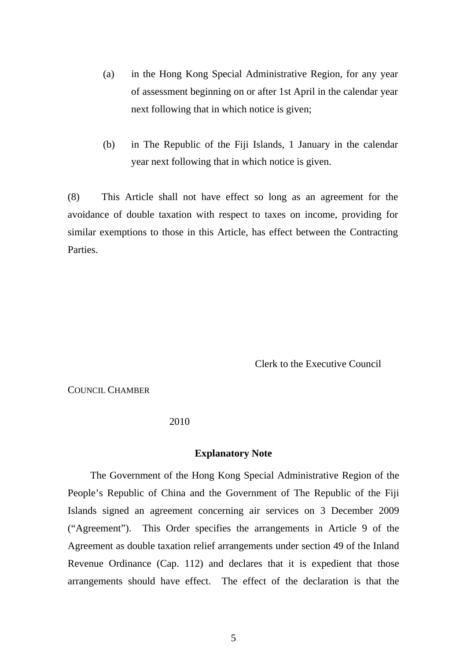- (a) in the Hong Kong Special Administrative Region, for any year of assessment beginning on or after 1st April in the calendar year next following that in which notice is given;
- (b) in The Republic of the Fiji Islands, 1 January in the calendar year next following that in which notice is given.

(8) This Article shall not have effect so long as an agreement for the avoidance of double taxation with respect to taxes on income, providing for similar exemptions to those in this Article, has effect between the Contracting Parties.

Clerk to the Executive Council

COUNCIL CHAMBER

2010

#### **Explanatory Note**

The Government of the Hong Kong Special Administrative Region of the People's Republic of China and the Government of The Republic of the Fiji Islands signed an agreement concerning air services on 3 December 2009 ("Agreement"). This Order specifies the arrangements in Article 9 of the Agreement as double taxation relief arrangements under section 49 of the Inland Revenue Ordinance (Cap. 112) and declares that it is expedient that those arrangements should have effect. The effect of the declaration is that the